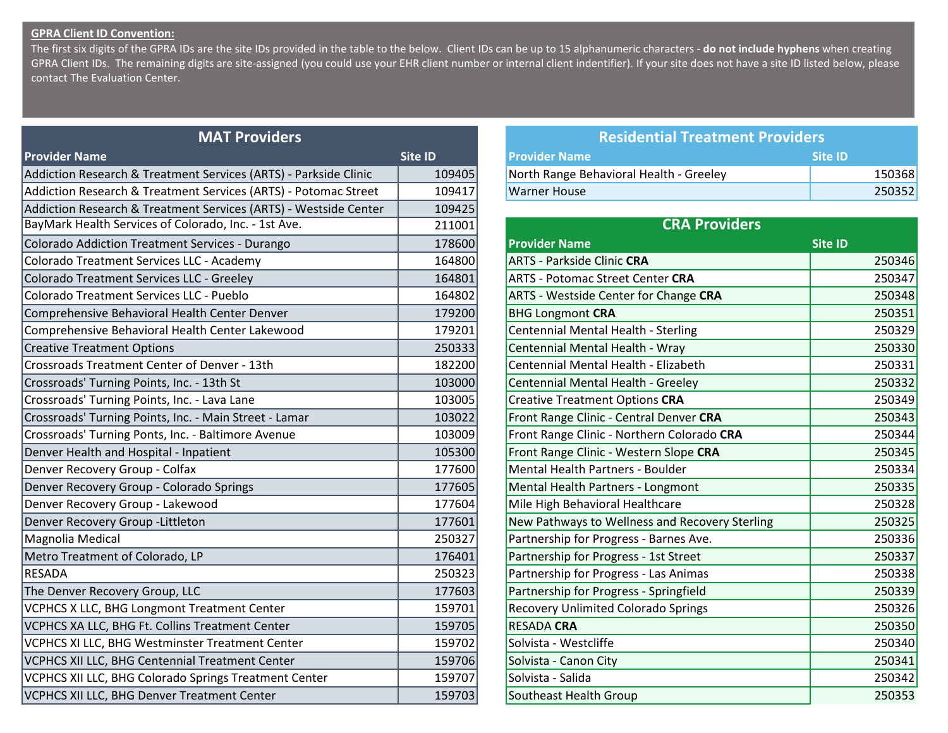## **GPRA Client ID Convention:**

The first six digits of the GPRA IDs are the site IDs provided in the table to the below. Client IDs can be up to 15 alphanumeric characters - **do not include hyphens** when creating GPRA Client IDs. The remaining digits are site-assigned (you could use your EHR client number or internal client indentifier). If your site does not have a site ID listed below, please contact The Evaluation Center.

| <b>MAT Providers</b>                                             |         | <b>Residential Treatment Providers</b>         |                |
|------------------------------------------------------------------|---------|------------------------------------------------|----------------|
| <b>Provider Name</b>                                             | Site ID | <b>Provider Name</b>                           | <b>Site ID</b> |
| Addiction Research & Treatment Services (ARTS) - Parkside Clinic | 109405  | North Range Behavioral Health - Greeley        | 150368         |
| Addiction Research & Treatment Services (ARTS) - Potomac Street  | 109417  | <b>Warner House</b>                            | 250352         |
| Addiction Research & Treatment Services (ARTS) - Westside Center | 109425  |                                                |                |
| BayMark Health Services of Colorado, Inc. - 1st Ave.             | 211001  | <b>CRA Providers</b>                           |                |
| Colorado Addiction Treatment Services - Durango                  | 178600  | <b>Provider Name</b>                           | <b>Site ID</b> |
| Colorado Treatment Services LLC - Academy                        | 164800  | <b>ARTS - Parkside Clinic CRA</b>              | 250346         |
| Colorado Treatment Services LLC - Greeley                        | 164801  | <b>ARTS - Potomac Street Center CRA</b>        | 250347         |
| Colorado Treatment Services LLC - Pueblo                         | 164802  | <b>ARTS - Westside Center for Change CRA</b>   | 250348         |
| Comprehensive Behavioral Health Center Denver                    | 179200  | <b>BHG Longmont CRA</b>                        | 250351         |
| Comprehensive Behavioral Health Center Lakewood                  | 179201  | Centennial Mental Health - Sterling            | 250329         |
| <b>Creative Treatment Options</b>                                | 250333  | Centennial Mental Health - Wray                | 250330         |
| Crossroads Treatment Center of Denver - 13th                     | 182200  | Centennial Mental Health - Elizabeth           | 250331         |
| Crossroads' Turning Points, Inc. - 13th St                       | 103000  | Centennial Mental Health - Greeley             | 250332         |
| Crossroads' Turning Points, Inc. - Lava Lane                     | 103005  | <b>Creative Treatment Options CRA</b>          | 250349         |
| Crossroads' Turning Points, Inc. - Main Street - Lamar           | 103022  | Front Range Clinic - Central Denver CRA        | 250343         |
| Crossroads' Turning Ponts, Inc. - Baltimore Avenue               | 103009  | Front Range Clinic - Northern Colorado CRA     | 250344         |
| Denver Health and Hospital - Inpatient                           | 105300  | Front Range Clinic - Western Slope CRA         | 250345         |
| Denver Recovery Group - Colfax                                   | 177600  | Mental Health Partners - Boulder               | 250334         |
| Denver Recovery Group - Colorado Springs                         | 177605  | Mental Health Partners - Longmont              | 250335         |
| Denver Recovery Group - Lakewood                                 | 177604  | Mile High Behavioral Healthcare                | 250328         |
| Denver Recovery Group - Littleton                                | 177601  | New Pathways to Wellness and Recovery Sterling | 250325         |
| Magnolia Medical                                                 | 250327  | Partnership for Progress - Barnes Ave.         | 250336         |
| Metro Treatment of Colorado, LP                                  | 176401  | Partnership for Progress - 1st Street          | 250337         |
| RESADA                                                           | 250323  | Partnership for Progress - Las Animas          | 250338         |
| The Denver Recovery Group, LLC                                   | 177603  | Partnership for Progress - Springfield         | 250339         |
| VCPHCS X LLC, BHG Longmont Treatment Center                      | 159701  | Recovery Unlimited Colorado Springs            | 250326         |
| VCPHCS XA LLC, BHG Ft. Collins Treatment Center                  | 159705  | <b>RESADA CRA</b>                              | 250350         |
| VCPHCS XI LLC, BHG Westminster Treatment Center                  | 159702  | Solvista - Westcliffe                          | 250340         |
| VCPHCS XII LLC, BHG Centennial Treatment Center                  | 159706  | Solvista - Canon City                          | 250341         |
| VCPHCS XII LLC, BHG Colorado Springs Treatment Center            | 159707  | Solvista - Salida                              | 250342         |
| VCPHCS XII LLC, BHG Denver Treatment Center                      | 159703  | Southeast Health Group                         | 250353         |

| <b>MAT Providers</b>                |         | <b>Residential Treatment Providers</b>  |                |
|-------------------------------------|---------|-----------------------------------------|----------------|
|                                     | Site ID | <b>Provider Name</b>                    | Site <b>ID</b> |
| : Services (ARTS) - Parkside Clinic | 109405  | North Range Behavioral Health - Greeley | 150368         |
| : Services (ARTS) - Potomac Street  | 109417  | Warner House                            | 250352         |

| <b>CRA Providers</b>                           |                |  |  |
|------------------------------------------------|----------------|--|--|
| <b>Provider Name</b>                           | <b>Site ID</b> |  |  |
| <b>ARTS - Parkside Clinic CRA</b>              | 250346         |  |  |
| <b>ARTS - Potomac Street Center CRA</b>        | 250347         |  |  |
| ARTS - Westside Center for Change CRA          | 250348         |  |  |
| <b>BHG Longmont CRA</b>                        | 250351         |  |  |
| Centennial Mental Health - Sterling            | 250329         |  |  |
| Centennial Mental Health - Wray                | 250330         |  |  |
| Centennial Mental Health - Elizabeth           | 250331         |  |  |
| Centennial Mental Health - Greeley             | 250332         |  |  |
| <b>Creative Treatment Options CRA</b>          | 250349         |  |  |
| Front Range Clinic - Central Denver CRA        | 250343         |  |  |
| Front Range Clinic - Northern Colorado CRA     | 250344         |  |  |
| Front Range Clinic - Western Slope CRA         | 250345         |  |  |
| <b>Mental Health Partners - Boulder</b>        | 250334         |  |  |
| Mental Health Partners - Longmont              | 250335         |  |  |
| Mile High Behavioral Healthcare                | 250328         |  |  |
| New Pathways to Wellness and Recovery Sterling | 250325         |  |  |
| Partnership for Progress - Barnes Ave.         | 250336         |  |  |
| Partnership for Progress - 1st Street          | 250337         |  |  |
| Partnership for Progress - Las Animas          | 250338         |  |  |
| Partnership for Progress - Springfield         | 250339         |  |  |
| Recovery Unlimited Colorado Springs            | 250326         |  |  |
| <b>RESADA CRA</b>                              | 250350         |  |  |
| Solvista - Westcliffe                          | 250340         |  |  |
| Solvista - Canon City                          | 250341         |  |  |
| Solvista - Salida                              | 250342         |  |  |
| <b>Southeast Health Group</b>                  | 250353         |  |  |